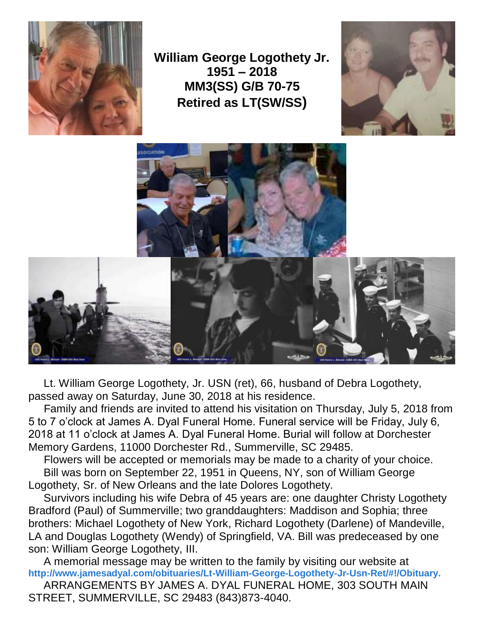

**William George Logothety Jr. 1951 – 2018 MM3(SS) G/B 70-75 Retired as LT(SW/SS)**





 Lt. William George Logothety, Jr. USN (ret), 66, husband of Debra Logothety, passed away on Saturday, June 30, 2018 at his residence.

 Family and friends are invited to attend his visitation on Thursday, July 5, 2018 from 5 to 7 o'clock at James A. Dyal Funeral Home. Funeral service will be Friday, July 6, 2018 at 11 o'clock at James A. Dyal Funeral Home. Burial will follow at Dorchester Memory Gardens, 11000 Dorchester Rd., Summerville, SC 29485.

Flowers will be accepted or memorials may be made to a charity of your choice.

 Bill was born on September 22, 1951 in Queens, NY, son of William George Logothety, Sr. of New Orleans and the late Dolores Logothety.

 Survivors including his wife Debra of 45 years are: one daughter Christy Logothety Bradford (Paul) of Summerville; two granddaughters: Maddison and Sophia; three brothers: Michael Logothety of New York, Richard Logothety (Darlene) of Mandeville, LA and Douglas Logothety (Wendy) of Springfield, VA. Bill was predeceased by one son: William George Logothety, III.

 A memorial message may be written to the family by visiting our website at **[http://www.jamesadyal.com/obituaries/Lt-William-George-Logothety-Jr-Usn-Ret/#!/Obituary.](http://www.jamesadyal.com/obituaries/Lt-William-George-Logothety-Jr-Usn-Ret/#%21/Obituary.)**

 ARRANGEMENTS BY JAMES A. DYAL FUNERAL HOME, 303 SOUTH MAIN STREET, SUMMERVILLE, SC 29483 (843)873-4040.